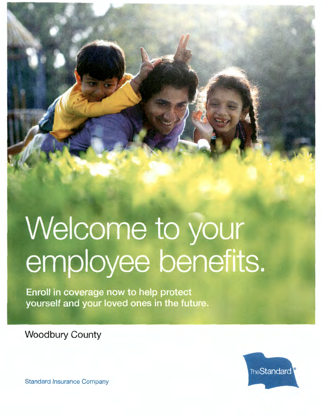# Welcome to your employee benefits.

Enroll in coverage now to help protect yourself and your loved ones in the future.

**Woodbury County** 



Standard Insurance Company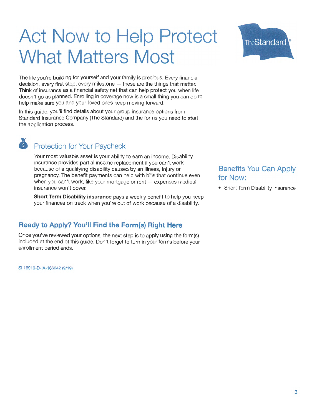## **Act Now to Help Protect What Matters Most**



The life you're building for yourself and your family is precious. Every financial  $decision$ , every first step, every milestone  $-$  these are the things that matter. Think of insurance as a financial safety net that can help protect you when life doesn't go as planned. Enrolling in coverage now is a small thing you can do to help make sure you and your loved ones keep moving forward.

In this guide, you'll find details about your group insurance options from Standard Insurance Company (The Standard) and the forms you need to start the application process.

### **Protection for Your Paycheck**

Your most valuable asset is your ability to earn an income. Disability insurance provides partial income replacement if you can't work because of a qualifying disability caused by an illness, injury or pregnancy. The benefit payments can help with bills that continue even when you can't work, like your mortgage or rent  $-$  expenses medical insurance won't cover.

**Short Term Disability insurance** pays a weekly benefit to help you keep your finances on track when you're out of work because of a disability.

#### **Ready to Apply? You'll Find the Form(s) Right Here**

Once you've reviewed your options, the next step is to apply using the form(s) included at the end of this guide. Don't forget to turn in your forms before your enrollment period ends.

SI 16919-D-IA-166242 (9/19)

### **Benefits You Can Apply for Now:**

• Short Term Disability insurance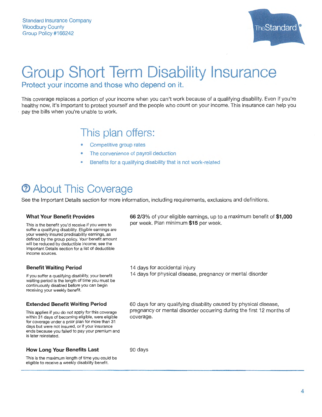

## **Group Short Term Disability Insurance Protect your income and those who depend on it.**

This coverage replaces a portion of your income when you can't work because of a qualifying disability. Even if you're healthy now, it's important to protect yourself and the people who count on your income. This insurance can help you pay the bills when you're unable to work.

## **This plan offers:**

- Competitive group rates
- The convenience of payroll deduction
- Benefits for a qualifying disability that is not work-related

## **(i) About This Coverage**

See the Important Details section for more information, including requirements, exclusions and definitions.

#### **What Your Benefit Provides**

This is the benefit you'd receive if you were to suffer a qualifying disability. Eligible earnings are your weekly insured predisability earnings, as defined by the group policy. Your benefit amount will be reduced by deductible income; see the Important Details section for a list of deductible income sources.

#### **Benefit Waiting Period**

If you suffer a qualifying disability, your benefit waiting period is the length of time you must be continuously disabled before you can begin receiving your weekly benefit.

#### **Extended Benefit Waiting Period**

This applies if you do not apply for this coverage within 31 days of becoming eligible, were eligible for coverage under a prior plan for more than 31 days but were not insured, or if your insurance ends because you failed to pay your premium and is later reinstated.

#### **How Long Your Benefits Last**

This is the maximum length of time you could be eligible to receive a weekly disability benefit.

**66 2/3%** of your eligible earnings, up to a maximum benefit of **\$1,000**  per week. Plan minimum **\$15** per week.

14 days for accidental injury

14 days for physical disease, pregnancy or mental disorder

60 days for any qualifying disability caused by physical disease, pregnancy or mental disorder occurring during the first 12 months of coverage.

90 days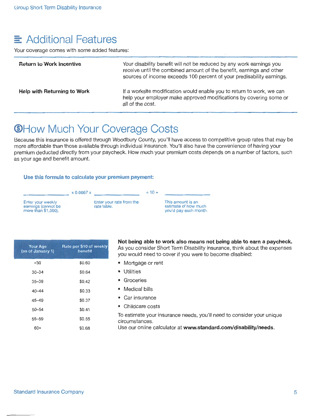## $\equiv$  Additional Features

Your coverage comes with some added features:

| <b>Return to Work Incentive</b>    | Your disability benefit will not be reduced by any work earnings you<br>receive until the combined amount of the benefit, earnings and other<br>sources of income exceeds 100 percent of your predisability earnings. |
|------------------------------------|-----------------------------------------------------------------------------------------------------------------------------------------------------------------------------------------------------------------------|
| <b>Help with Returning to Work</b> | If a worksite modification would enable you to return to work, we can<br>help your employer make approved modifications by covering some or<br>all of the cost.                                                       |

## **@How Much Your Coverage Costs**

Because this insurance is offered through Woodbury County, you'll have access to competitive group rates that may be more affordable than those available through individual insurance. You'll also have the convenience of having your premium deducted directly from your paycheck. How much your premium costs depends on a number of factors, such as your age and benefit amount.

#### **Use this formula to calculate your premium payment:**



| <b>Your Age</b><br>(as of January 1) | Rate per \$10 of weekly<br>benefit |
|--------------------------------------|------------------------------------|
| ≺30                                  | 30.60                              |
| $30 - 34$                            | \$0.64                             |
| $35 - 39$                            | \$0.42                             |
| $40 - 44$                            | \$0.33                             |
| $45 - 49$                            | \$0.37                             |
| $50 - 54$                            | \$0.41                             |
| $55 - 59$                            | \$0.55                             |
| $60+$                                | \$0.68                             |

**Not being able to work also means not being able to earn a paycheck.**  As you consider Short Term Disability insurance, think about the expenses you would need to cover if you were to become disabled:

- Mortgage or rent
- Utilities
- Groceries
- Medical bills
- Car insurance
- Childcare costs

To estimate your insurance needs, you'll need to consider your unique circumstances.

Use our online calculator at **www.standard.com/disability/needs.**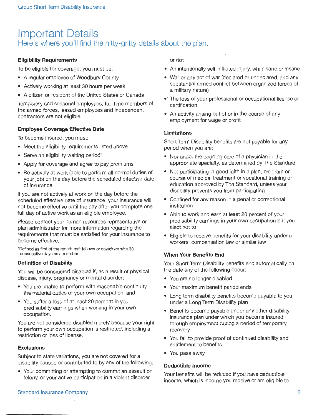## **Important Details**  Here's where you'll find the nitty-gritty details about the plan.

#### **Eligibility Requirements**

To be eligible for coverage, you must be:

- A regular employee of Woodbury County
- Actively working at least 30 hours per week
- A citizen or resident of the United States or Canada

Temporary and seasonal employees, full-time members of the armed forces, leased employees and independent contractors are not eligible.

#### **Employee Coverage Effective Date**

To become insured, you must:

- Meet the eligibility requirements listed above
- Serve an eligibility waiting period\*
- Apply for coverage and agree to pay premiums
- Be actively at work (able to perform all normal duties of your job) on the day before the scheduled effective date of insurance

If you are not actively at work on the day before the scheduled effective date of insurance, your insurance will not become effective until the day after you complete one full day of active work as an eligible employee.

Please contact your human resources representative or plan administrator for more information regarding the requirements that must be satisfied for your insurance to become effective.

\*Defined as first of the month that follows or coincides with 30 consecutive days as a member

#### **Definition of Disability**

You will be considered disabled if, as a result of physical disease, injury, pregnancy or mental disorder:

- You are unable to perform with reasonable continuity the material duties of your own occupation, and
- You suffer a loss of at least 20 percent in your predisability earnings when working in your own occupation.

You are not considered disabled merely because your right to perform your own occupation is restricted, including a restriction or loss of license.

#### **Exclusions**

Subject to state variations, you are not covered for a disability caused or contributed to by any of the following:

• Your committing or attempting to commit an assault or felony, or your active participation in a violent disorder

or riot

- An intentionally self-inflicted injury, while sane or insane
- War or any act of war (declared or undeclared, and any substantial armed conflict between organized forces of a military nature)
- •' The loss of your professional or occupational license or certification
- An activity arising out of or in the course of any employment for wage or profit

#### **Limitations**

Short Term Disability benefits are not payable for any period when you are:

- Not under the ongoing care of a physician in the appropriate specialty, as determined by The Standard
- Not participating in good faith in a plan, program or course of medical treatment or vocational training or education approved by The Standard, unless your disability prevents you from participating
- Confined for any reason in a penal or correctional institution
- Able to work and earn at least 20 percent of your predisability earnings in your own occupation but you elect not to
- Eligible to receive benefits for your disability under a workers' compensation law or similar law

#### **When Your Benefits End**

Your Short Term Disability benefits end automatically on the date any of the following occur:

- You are no longer disabled
- Your maximum benefit period ends
- Long term disability benefits become payable to you under a Long Term Disability plan
- Benefits become payable under any other disability insurance plan under which you become insured through employment during a period of temporary recovery
- You fail to provide proof of continued disability and entitlement to benefits
- You pass away

#### **Deductible Income**

Your benefits will be reduced if you have deductible income, which is income you receive or are eligible to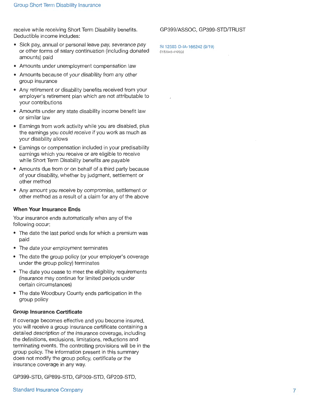receive while receiving Short Term Disability benefits. Deductible income includes:

- Sick pay, annual or personal leave pay, severance pay or other forms of salary continuation (including donated amounts) paid
- Amounts under unemployment compensation law
- Amounts because of your disability from any other group insurance
- Any retirement or disability benefits received from your employer's retirement plan which are not attributable to your contributions
- 'Amounts under any state disability income benefit law or similar law
- Earnings from work activity while you are disabled, plus the earnings you could receive if you work as much as your disability allows
- Earnings or compensation included in your predisability earnings which you receive or are eligible to receive while Short Term Disability benefits are payable
- Amounts due from or on behalf of a third party because of your disability, whether by judgment, settlement or other method
- Any amount you receive by compromise, settlement or other method as a result of a claim for any of the above

#### **When Your Insurance Ends**

Your insurance ends automatically when any of the following occur:

- The date the last period ends for which a premium was paid
- The date your employment terminates
- The date the group policy (or your employer's coverage under the group policy) terminates
- The date you cease to meet the eligibility requirements (insurance may continue for limited periods under certain circumstances)
- The date Woodbury County ends participation in the group policy

#### **Group Insurance Certificate**

If coverage becomes effective and you become insured, you will receive a group insurance certificate containing a detailed description of the insurance coverage, including the definitions, exclusions, limitations, reductions and terminating events. The controlling provisions will be in the group policy. The information present in this summary does not modify the group policy, certificate or the insurance coverage in any way.

GP399-STD, GP899-STD, GP309-STD, GP209-STD,

#### GP399/ASSOC, GP399-STD/TRUST

SI 12503-D-IA-166242 {9/19) 6183045-410099